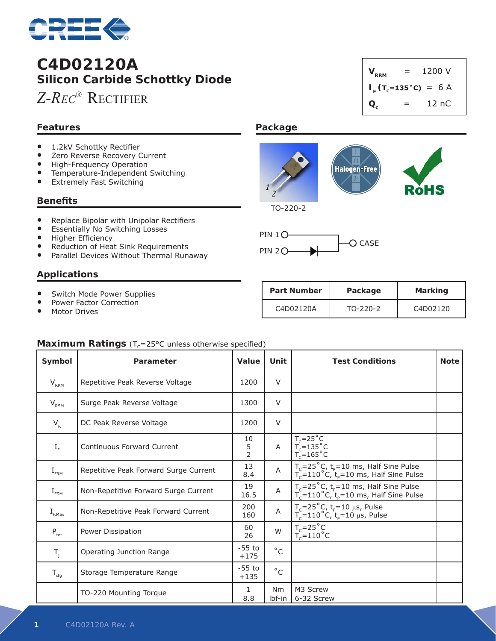

# **C4D02120A Silicon Carbide Schottky Diode**

*Z-Rec®* Rectifier

### **Features**

- 1.2kV Schottky Rectifier<br>• Zero Reverse Recovery
- Zero Reverse Recovery Current
- High-Frequency Operation
- Temperature-Independent Switching
- Extremely Fast Switching

#### **Benefits**

- • Replace Bipolar with Unipolar Rectifiers
- **•** Essentially No Switching Losses
- • Higher Efficiency
- Reduction of Heat Sink Requirements
- Parallel Devices Without Thermal Runaway

### **Applications**

- Switch Mode Power Supplies
- Power Factor Correction
- **•** Motor Drives



#### **Package**





| <b>Part Number</b> | Package    | Marking  |  |
|--------------------|------------|----------|--|
| C4D02120A          | $TO-220-2$ | C4D02120 |  |

### **Maximum Ratings** (T<sub>c</sub>=25°C unless otherwise specified)

| Symbol                                       | Parameter                             |                           | Unit                | <b>Test Conditions</b>                                                                                                        | <b>Note</b> |
|----------------------------------------------|---------------------------------------|---------------------------|---------------------|-------------------------------------------------------------------------------------------------------------------------------|-------------|
| $V_{RRM}$                                    | Repetitive Peak Reverse Voltage       | 1200                      | $\vee$              |                                                                                                                               |             |
| $V_{RSM}$                                    | Surge Peak Reverse Voltage            | 1300                      | $\vee$              |                                                                                                                               |             |
| $V_R$                                        | DC Peak Reverse Voltage               | 1200                      | $\vee$              |                                                                                                                               |             |
| $\mathbf{I}_{\scriptscriptstyle \mathrm{F}}$ | <b>Continuous Forward Current</b>     | 10<br>5<br>$\overline{2}$ | A                   | $T_c=25^\circ C$<br>$T_c=135^\circ C$<br>$T_c=165^\circ C$                                                                    |             |
| $I_{\text{FRM}}$                             | Repetitive Peak Forward Surge Current | 13<br>8.4                 | $\overline{A}$      | $T_c = 25^{\circ}$ C, t <sub>p</sub> =10 ms, Half Sine Pulse<br>$T_c = 110^{\circ}$ C, t <sub>p</sub> =10 ms, Half Sine Pulse |             |
| $\mathrm{I}_{\texttt{FSM}}$                  | Non-Repetitive Forward Surge Current  | 19<br>16.5                | $\overline{A}$      | $T_c = 25^{\circ}C$ , $t_p = 10$ ms, Half Sine Pulse<br>$T_c = 110^{\circ}C$ , $t_p = 10$ ms, Half Sine Pulse                 |             |
| $\text{I}_{\text{\tiny{F,Max}}}$             | Non-Repetitive Peak Forward Current   | 200<br>160                | $\mathsf A$         | $T_c = 25^{\circ}C$ , $t_p = 10 \mu s$ , Pulse<br>$T_c = 110^{\circ}C$ , $t_p = 10 \mu s$ , Pulse                             |             |
| $P_{\rm tot}$                                | Power Dissipation                     | 60<br>26                  | W                   | $T_c = 25^\circ C$<br>$T_c = 110^{\circ}$ C                                                                                   |             |
| $T_{\rm J}$                                  | Operating Junction Range              | $-55$ to<br>$+175$        | $^{\circ}$ C        |                                                                                                                               |             |
| ${\sf T}_{\sf stg}$                          | Storage Temperature Range             | $-55$ to<br>$+135$        | $^{\circ}$ C        |                                                                                                                               |             |
|                                              | TO-220 Mounting Torque                | 1<br>8.8                  | <b>Nm</b><br>Ibf-in | M3 Screw<br>6-32 Screw                                                                                                        |             |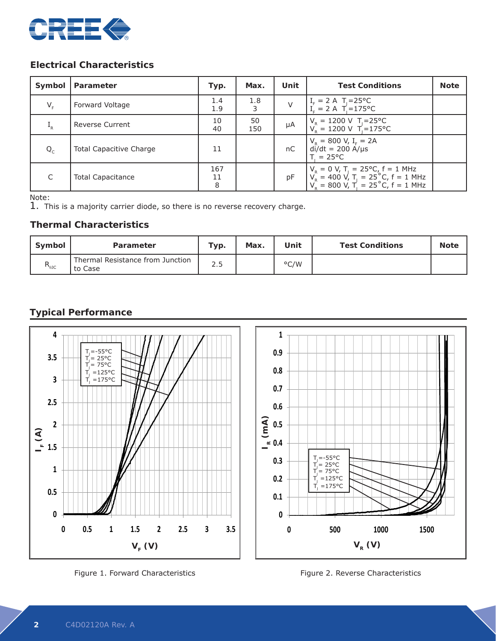

### **Electrical Characteristics**

| Symbol      | Parameter                      | Typ.           | Max.      | Unit | <b>Test Conditions</b>                                                                                                                                 | <b>Note</b> |
|-------------|--------------------------------|----------------|-----------|------|--------------------------------------------------------------------------------------------------------------------------------------------------------|-------------|
| $V_{\rm F}$ | Forward Voltage                | 1.4<br>1.9     | 1.8<br>3  | V    | $I_F = 2 A T_J = 25°C$<br>$I_c = 2 A T_J = 175°C$                                                                                                      |             |
| $I_R$       | <b>Reverse Current</b>         | 10<br>40       | 50<br>150 | μA   | $V_p = 1200 \text{ V}$ T <sub>J</sub> =25°C<br>$V_p = 1200 \text{ V}$ T = 175 °C                                                                       |             |
| $Q_c$       | <b>Total Capacitive Charge</b> | 11             |           | nC   | $V_R = 800 V, I_F = 2A$<br>di/dt = 200 A/µs<br>$T = 25^{\circ}C$                                                                                       |             |
| C           | <b>Total Capacitance</b>       | 167<br>11<br>8 |           | pF   | $V_R = 0 V$ , T <sub>J</sub> = 25°C, f = 1 MHz<br>$V_R = 400 V$ , T <sub>J</sub> = 25°C, f = 1 MHz<br>$V_R = 800 V$ , T <sub>J</sub> = 25°C, f = 1 MHz |             |

Note:

1. This is a majority carrier diode, so there is no reverse recovery charge.

### **Thermal Characteristics**

| Symbol         | Parameter                                   | Typ. | Max. | Unit | <b>Test Conditions</b> | <b>Note</b> |
|----------------|---------------------------------------------|------|------|------|------------------------|-------------|
| $R_{\theta$ JC | Thermal Resistance from Junction<br>to Case | 2.5  |      | °C/W |                        |             |

### **Typical Performance**



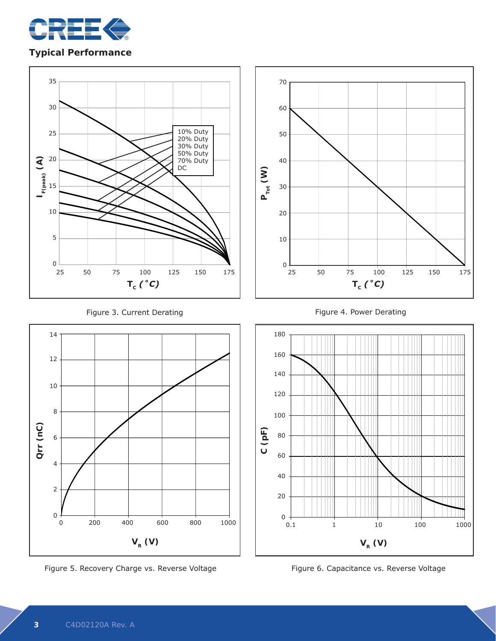

### **Typical Performance**





Figure 5. Recovery Charge vs. Reverse Voltage **Xanadia Communist Constance vs. Reverse Voltage** 







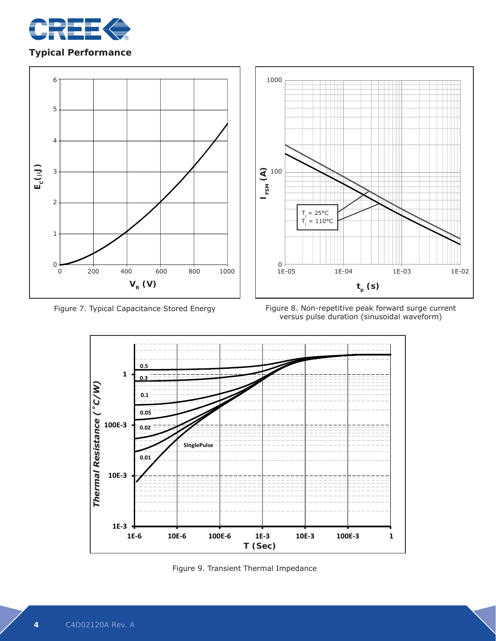

### **Typical Performance**





Figure 7. Typical Capacitance Stored Energy Figure 8. Non-repetitive peak forward surge current versus pulse duration (sinusoidal waveform)



Figure 9. Transient Thermal Impedance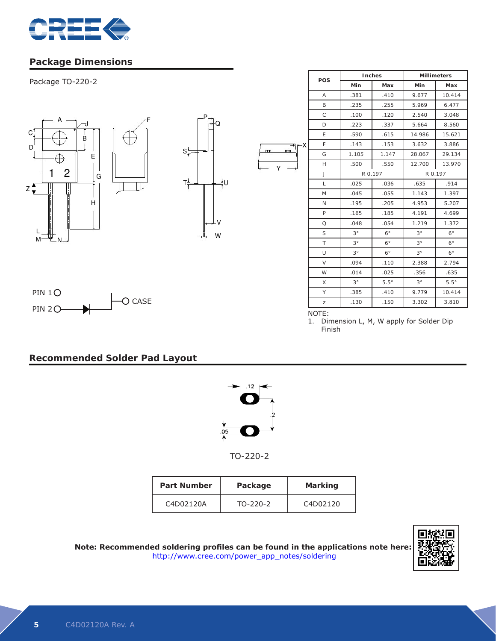

# **Package Dimensions**

Package TO-220-2







|    | POS          | Inches      |             | <b>Millimeters</b> |             |  |
|----|--------------|-------------|-------------|--------------------|-------------|--|
|    |              | Min         | Max         | Min                | Max         |  |
|    | A            | .381        | .410        | 9.677              | 10.414      |  |
|    | B            | .235        | .255        | 5.969              | 6.477       |  |
|    | $\mathsf{C}$ | .100        | .120        | 2.540              | 3.048       |  |
|    | D            | .223        | .337        | 5.664              | 8.560       |  |
|    | E            | .590        | .615        | 14.986             | 15.621      |  |
| -X | F            | .143        | .153        | 3.632              | 3.886       |  |
| m  | G            | 1.105       | 1.147       | 28.067             | 29.134      |  |
|    | H            | .500        | .550        | 12.700             | 13.970      |  |
|    | J            | R 0.197     |             | R 0.197            |             |  |
|    | L            | .025        | .036        | .635               | .914        |  |
|    | M            | .045        | .055        | 1.143              | 1.397       |  |
|    | N            | .195        | .205        | 4.953              | 5.207       |  |
|    | P            | .165        | .185        | 4.191              | 4.699       |  |
|    | Q            | .048        | .054        | 1.219              | 1.372       |  |
|    | S            | $3^{\circ}$ | $6^{\circ}$ | $3^{\circ}$        | $6^{\circ}$ |  |
|    | T            | $3^{\circ}$ | $6^{\circ}$ | $3^{\circ}$        | $6^{\circ}$ |  |
|    | U            | $3^{\circ}$ | $6^{\circ}$ | $3^{\circ}$        | $6^{\circ}$ |  |
|    | $\vee$       | .094        | .110        | 2.388              | 2.794       |  |
|    | W            | .014        | .025        | .356               | .635        |  |
|    | X            | $3^{\circ}$ | $5.5^\circ$ | $3^{\circ}$        | $5.5^\circ$ |  |
|    | Y            | .385        | .410        | 9.779              | 10.414      |  |
|    | Z            | .130        | .150        | 3.302              | 3.810       |  |

NOTE:

Y

m.

1. Dimension L, M, W apply for Solder Dip Finish

# **Recommended Solder Pad Layout**



 TO-220-2

| <b>Part Number</b> | Package    | <b>Marking</b> |
|--------------------|------------|----------------|
| C4D02120A          | $TO-220-2$ | C4D02120       |